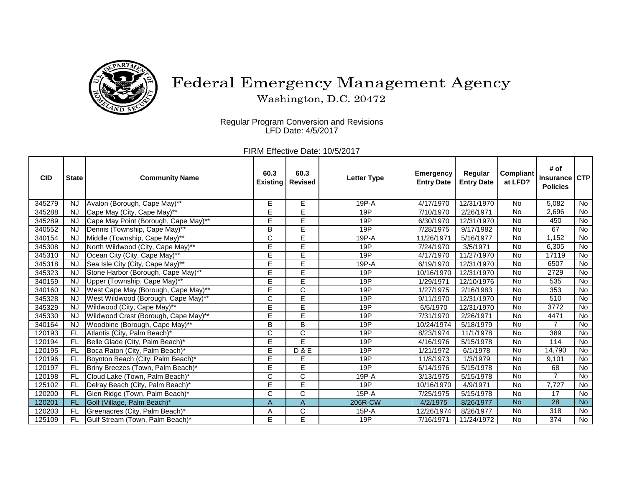

## Federal Emergency Management Agency

Washington, D.C. 20472

Regular Program Conversion and Revisions LFD Date: 4/5/2017

> FIRM Effective Date: 10/5/2017

| <b>CID</b> | <b>State</b> | <b>Community Name</b>                | 60.3<br><b>Existing</b> | 60.3<br><b>Revised</b>  | <b>Letter Type</b> | <b>Emergency</b><br><b>Entry Date</b> | Regular<br><b>Entry Date</b> | <b>Compliant</b><br>at LFD? | # of<br><b>Insurance</b><br><b>Policies</b> | <b>CTP</b> |
|------------|--------------|--------------------------------------|-------------------------|-------------------------|--------------------|---------------------------------------|------------------------------|-----------------------------|---------------------------------------------|------------|
| 345279     | NJ.          | Avalon (Borough, Cape May)**         | Е                       | Е                       | 19P-A              | 4/17/1970                             | 12/31/1970                   | <b>No</b>                   | 5,082                                       | No         |
| 345288     | <b>NJ</b>    | Cape May (City, Cape May)**          | E                       | E                       | 19P                | 7/10/1970                             | 2/26/1971                    | <b>No</b>                   | 2,696                                       | No         |
| 345289     | NJ.          | Cape May Point (Borough, Cape May)** | E                       | Ē                       | 19P                | 6/30/1970                             | 12/31/1970                   | No                          | 450                                         | No         |
| 340552     | <b>NJ</b>    | Dennis (Township, Cape May)**        | B                       | E                       | 19P                | 7/28/1975                             | 9/17/1982                    | <b>No</b>                   | 67                                          | No         |
| 340154     | <b>NJ</b>    | Middle (Township, Cape May)**        | C                       | E                       | 19P-A              | 11/26/1971                            | 5/16/1977                    | <b>No</b>                   | 1,152                                       | No         |
| 345308     | <b>NJ</b>    | North Wildwood (City, Cape May)**    | E                       | Ē                       | 19P                | 7/24/1970                             | 3/5/1971                     | <b>No</b>                   | 6,305                                       | No         |
| 345310     | <b>NJ</b>    | Ocean City (City, Cape May)**        | E                       | E                       | 19P                | 4/17/1970                             | 11/27/1970                   | <b>No</b>                   | 17119                                       | No         |
| 345318     | <b>NJ</b>    | Sea Isle City (City, Cape May)**     | E                       | Ē                       | 19P-A              | 6/19/1970                             | 12/31/1970                   | <b>No</b>                   | 6507                                        | No         |
| 345323     | <b>NJ</b>    | Stone Harbor (Borough, Cape May)**   | E                       | E                       | 19P                | 10/16/1970                            | 12/31/1970                   | <b>No</b>                   | 2729                                        | No         |
| 340159     | <b>NJ</b>    | Upper (Township, Cape May)**         | E                       | E                       | 19P                | 1/29/1971                             | 12/10/1976                   | <b>No</b>                   | 535                                         | No         |
| 340160     | <b>NJ</b>    | West Cape May (Borough, Cape May)**  | E                       | $\overline{\text{c}}$   | 19P                | 1/27/1975                             | 2/16/1983                    | <b>No</b>                   | 353                                         | No         |
| 345328     | NJ.          | West Wildwood (Borough, Cape May)**  | C                       | Ē                       | 19P                | 9/11/1970                             | 12/31/1970                   | No                          | 510                                         | No         |
| 345329     | <b>NJ</b>    | Wildwood (City, Cape May)**          | E                       | E                       | 19P                | 6/5/1970                              | 12/31/1970                   | <b>No</b>                   | 3772                                        | No         |
| 345330     | <b>NJ</b>    | Wildwood Crest (Borough, Cape May)** | E                       | E                       | 19P                | 7/31/1970                             | 2/26/1971                    | <b>No</b>                   | 4471                                        | No         |
| 340164     | <b>NJ</b>    | Woodbine (Borough, Cape May)**       | B                       | B                       | 19P                | 10/24/1974                            | 5/18/1979                    | <b>No</b>                   | $\overline{7}$                              | No         |
| 120193     | FL.          | Atlantis (City, Palm Beach)*         | $\overline{\mathsf{C}}$ | $\overline{\text{c}}$   | 19P                | 8/23/1974                             | 11/1/1978                    | <b>No</b>                   | 389                                         | No         |
| 120194     | FL.          | Belle Glade (City, Palm Beach)*      | E                       | E                       | 19P                | 4/16/1976                             | 5/15/1978                    | <b>No</b>                   | 114                                         | No         |
| 120195     | FL.          | Boca Raton (City, Palm Beach)*       | E                       | <b>D&amp;E</b>          | 19P                | 1/21/1972                             | 6/1/1978                     | <b>No</b>                   | 14,790                                      | No         |
| 120196     | FL.          | Boynton Beach (City, Palm Beach)*    | E                       | Е                       | 19P                | 11/8/1973                             | 1/3/1979                     | <b>No</b>                   | 9,101                                       | No         |
| 120197     | FL.          | Briny Breezes (Town, Palm Beach)*    | E                       | Ē                       | 19P                | 6/14/1976                             | 5/15/1978                    | <b>No</b>                   | 68                                          | No         |
| 120198     | FL.          | Cloud Lake (Town, Palm Beach)*       | C                       | C                       | 19P-A              | 3/13/1975                             | 5/15/1978                    | <b>No</b>                   |                                             | No         |
| 125102     | FL.          | Delray Beach (City, Palm Beach)*     | E                       | E                       | 19P                | 10/16/1970                            | 4/9/1971                     | <b>No</b>                   | 7,727                                       | No         |
| 120200     | FL.          | Glen Ridge (Town, Palm Beach)*       | С                       | $\overline{\mathsf{C}}$ | $15P - A$          | 7/25/1975                             | 5/15/1978                    | <b>No</b>                   | 17                                          | No         |
| 120201     | FL.          | Golf (Village, Palm Beach)*          | A                       | $\overline{A}$          | 206R-CW            | 4/2/1975                              | 8/26/1977                    | <b>No</b>                   | $\overline{28}$                             | <b>No</b>  |
| 120203     | <b>FL</b>    | Greenacres (City, Palm Beach)*       | Α                       | С                       | 15P-A              | 12/26/1974                            | 8/26/1977                    | No                          | 318                                         | No.        |
| 125109     | FL.          | Gulf Stream (Town, Palm Beach)*      | E                       | Ē                       | 19P                | 7/16/1971                             | 11/24/1972                   | <b>No</b>                   | 374                                         | No         |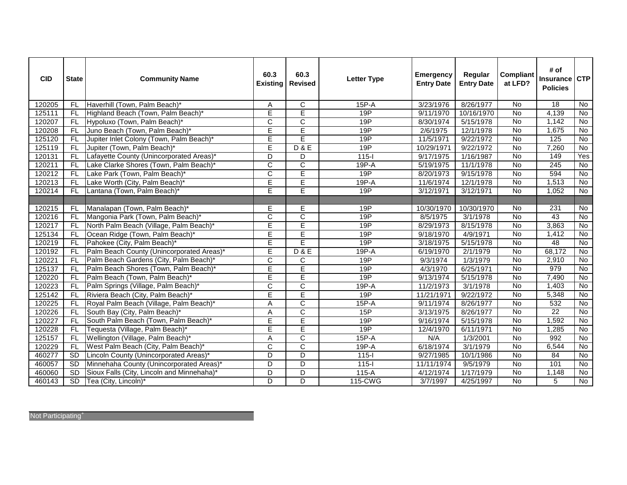| <b>CID</b> | <b>State</b> | <b>Community Name</b>                      | 60.3<br><b>Existing</b> | 60.3<br><b>Revised</b> | <b>Letter Type</b> | <b>Emergency</b><br><b>Entry Date</b> | Regular<br><b>Entry Date</b> | <b>Compliant</b><br>at LFD? | # of<br><b>Insurance</b><br><b>Policies</b> | <b>CTP</b>     |
|------------|--------------|--------------------------------------------|-------------------------|------------------------|--------------------|---------------------------------------|------------------------------|-----------------------------|---------------------------------------------|----------------|
| 120205     | FL.          | Haverhill (Town, Palm Beach)*              | Α                       | $\overline{C}$         | 15P-A              | 3/23/1976                             | 8/26/1977                    | <b>No</b>                   | $\overline{18}$                             | No             |
| 125111     | FL.          | Highland Beach (Town, Palm Beach)*         | E                       | E                      | 19P                | 9/11/1970                             | 10/16/1970                   | <b>No</b>                   | 4,139                                       | $\overline{N}$ |
| 120207     | FL.          | Hypoluxo (Town, Palm Beach)*               | $\overline{C}$          | C                      | 19P                | 8/30/1974                             | 5/15/1978                    | No                          | 1,142                                       | No             |
| 120208     | FL.          | Juno Beach (Town, Palm Beach)*             | E                       | E                      | 19P                | 2/6/1975                              | 12/1/1978                    | <b>No</b>                   | 1,675                                       | <b>No</b>      |
| 125120     | FL.          | Jupiter Inlet Colony (Town, Palm Beach)*   | E                       | E                      | 19P                | 11/5/1971                             | 9/22/1972                    | <b>No</b>                   | 125                                         | $\overline{N}$ |
| 125119     | FL.          | Jupiter (Town, Palm Beach)*                | E                       | D & E                  | 19P                | 10/29/1971                            | 9/22/1972                    | No                          | 7,260                                       | $\overline{N}$ |
| 120131     | FL           | Lafayette County (Unincorporated Areas)*   | D                       | D                      | $115 -$            | 9/17/1975                             | 1/16/1987                    | $\overline{N}$              | 149                                         | Yes            |
| 120211     | FL           | Lake Clarke Shores (Town, Palm Beach)*     | $\overline{\text{c}}$   | $\overline{\text{c}}$  | $19P - A$          | 5/19/1975                             | 11/1/1978                    | <b>No</b>                   | $\overline{245}$                            | <b>No</b>      |
| 120212     | FL           | Lake Park (Town, Palm Beach)*              | $\overline{\text{c}}$   | E                      | 19P                | 8/20/1973                             | 9/15/1978                    | $\overline{N}$              | 594                                         | <b>No</b>      |
| 120213     | <b>FL</b>    | Lake Worth (City, Palm Beach)*             | Ē                       | Ē                      | 19P-A              | 11/6/1974                             | 12/1/1978                    | <b>No</b>                   | 1,513                                       | $\overline{N}$ |
| 120214     | <b>FL</b>    | Lantana (Town, Palm Beach)*                | E                       | Ē                      | 19P                | 3/12/1971                             | 3/12/1971                    | $\overline{N}$              | 1,052                                       | $\overline{N}$ |
|            |              |                                            |                         |                        |                    |                                       |                              |                             |                                             |                |
| 120215     | FL.          | Manalapan (Town, Palm Beach)*              | E                       | E                      | 19P                | 10/30/1970                            | 10/30/1970                   | <b>No</b>                   | 231                                         | No             |
| 120216     | FL.          | Mangonia Park (Town, Palm Beach)*          | C                       | C                      | 19P                | 8/5/1975                              | 3/1/1978                     | <b>No</b>                   | 43                                          | <b>No</b>      |
| 120217     | FL.          | North Palm Beach (Village, Palm Beach)*    | Ē                       | Ē                      | 19P                | 8/29/1973                             | 8/15/1978                    | <b>No</b>                   | 3,863                                       | <b>No</b>      |
| 125134     | FL.          | Ocean Ridge (Town, Palm Beach)*            | E                       | E                      | 19P                | 9/18/1970                             | 4/9/1971                     | <b>No</b>                   | 1,412                                       | <b>No</b>      |
| 120219     | FL.          | Pahokee (City, Palm Beach)*                | E                       | E                      | 19P                | 3/18/1975                             | 5/15/1978                    | <b>No</b>                   | 48                                          | <b>No</b>      |
| 120192     | FL.          | Palm Beach County (Unincorporated Areas)*  | Ē                       | <b>D&amp;E</b>         | 19P-A              | 6/19/1970                             | 2/1/1979                     | $\overline{N}$              | 68,172                                      | $\overline{N}$ |
| 120221     | FL.          | Palm Beach Gardens (City, Palm Beach)*     | C                       | C                      | 19P                | 9/3/1974                              | 1/3/1979                     | <b>No</b>                   | 2,910                                       | <b>No</b>      |
| 125137     | FL.          | Palm Beach Shores (Town, Palm Beach)*      | E                       | E                      | 19P                | 4/3/1970                              | 6/25/1971                    | <b>No</b>                   | 979                                         | $\overline{N}$ |
| 120220     | FL.          | Palm Beach (Town, Palm Beach)*             | E                       | Е                      | 19P                | 9/13/1974                             | 5/15/1978                    | <b>No</b>                   | 7,490                                       | <b>No</b>      |
| 120223     | FL.          | Palm Springs (Village, Palm Beach)*        | C                       | $\mathsf{C}$           | $19P-A$            | 11/2/1973                             | 3/1/1978                     | <b>No</b>                   | 1,403                                       | $\overline{N}$ |
| 125142     | FL.          | Riviera Beach (City, Palm Beach)*          | E                       | E                      | 19P                | 11/21/1971                            | 9/22/1972                    | <b>No</b>                   | 5,348                                       | <b>No</b>      |
| 120225     | FL           | Royal Palm Beach (Village, Palm Beach)*    | Α                       | $\overline{C}$         | 15P-A              | 9/11/1974                             | 8/26/1977                    | No                          | 532                                         | <b>No</b>      |
| 120226     | FL.          | South Bay (City, Palm Beach)*              | Α                       | $\overline{C}$         | 15P                | 3/13/1975                             | 8/26/1977                    | No                          | $\overline{22}$                             | <b>No</b>      |
| 120227     | <b>FL</b>    | South Palm Beach (Town, Palm Beach)*       | E                       | E                      | 19P                | 9/16/1974                             | 5/15/1978                    | No                          | 1,592                                       | No             |
| 120228     | FL.          | Tequesta (Village, Palm Beach)*            | Ē                       | Ē                      | 19P                | 12/4/1970                             | 6/11/1971                    | No                          | 1,285                                       | <b>No</b>      |
| 125157     | FL.          | Wellington (Village, Palm Beach)*          | А                       | $\overline{C}$         | 15P-A              | N/A                                   | 1/3/2001                     | <b>No</b>                   | 992                                         | <b>No</b>      |
| 120229     | FL.          | West Palm Beach (City, Palm Beach)*        | $\overline{C}$          | $\overline{\text{c}}$  | 19P-A              | 6/18/1974                             | 3/1/1979                     | <b>No</b>                   | 6,544                                       | No             |
| 460277     | <b>SD</b>    | Lincoln County (Unincorporated Areas)*     | D                       | D                      | $115 -$            | 9/27/1985                             | 10/1/1986                    | No                          | 84                                          | <b>No</b>      |
| 460057     | <b>SD</b>    | Minnehaha County (Unincorporated Areas)*   | D                       | D                      | $115 -$            | 11/11/1974                            | 9/5/1979                     | No                          | 101                                         | No             |
| 460060     | <b>SD</b>    | Sioux Falls (City, Lincoln and Minnehaha)* | D                       | $\overline{D}$         | $115-A$            | 4/12/1974                             | 1/17/1979                    | No                          | 1,148                                       | No             |
| 460143     | SD           | Tea (City, Lincoln)*                       | D                       | $\overline{D}$         | 115-CWG            | 3/7/1997                              | 4/25/1997                    | <b>No</b>                   | 5                                           | $\overline{N}$ |

Not Participating<sup>+</sup>